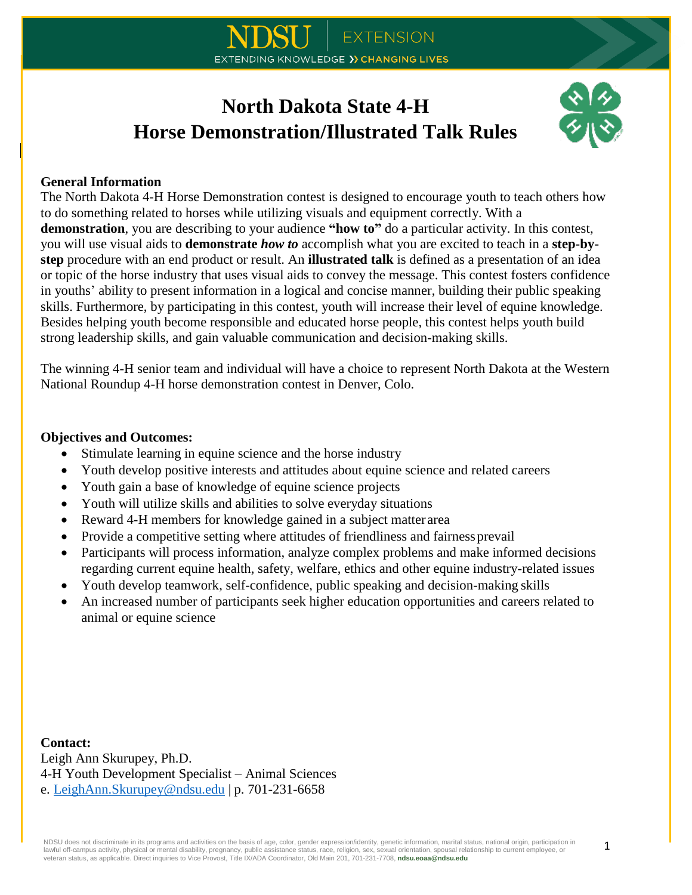# **North Dakota State 4-H Horse Demonstration/Illustrated Talk Rules**



## **General Information**

The North Dakota 4-H Horse Demonstration contest is designed to encourage youth to teach others how to do something related to horses while utilizing visuals and equipment correctly. With a **demonstration**, you are describing to your audience **"how to"** do a particular activity. In this contest, you will use visual aids to **demonstrate** *how to* accomplish what you are excited to teach in a **step-bystep** procedure with an end product or result. An **illustrated talk** is defined as a presentation of an idea or topic of the horse industry that uses visual aids to convey the message. This contest fosters confidence in youths' ability to present information in a logical and concise manner, building their public speaking skills. Furthermore, by participating in this contest, youth will increase their level of equine knowledge. Besides helping youth become responsible and educated horse people, this contest helps youth build strong leadership skills, and gain valuable communication and decision-making skills.

The winning 4-H senior team and individual will have a choice to represent North Dakota at the Western National Roundup 4-H horse demonstration contest in Denver, Colo.

#### **Objectives and Outcomes:**

- Stimulate learning in equine science and the horse industry
- Youth develop positive interests and attitudes about equine science and related careers
- Youth gain a base of knowledge of equine science projects
- Youth will utilize skills and abilities to solve everyday situations
- Reward 4-H members for knowledge gained in a subject matter area
- Provide a competitive setting where attitudes of friendliness and fairness prevail
- Participants will process information, analyze complex problems and make informed decisions regarding current equine health, safety, welfare, ethics and other equine industry-related issues
- Youth develop teamwork, self-confidence, public speaking and decision-making skills
- An increased number of participants seek higher education opportunities and careers related to animal or equine science

**Contact:** Leigh Ann Skurupey, Ph.D. 4-H Youth Development Specialist – Animal Sciences e. [LeighAnn.Skurupey@ndsu.edu](mailto:LeighAnn.Skurupey@ndsu.edu) | p. 701-231-6658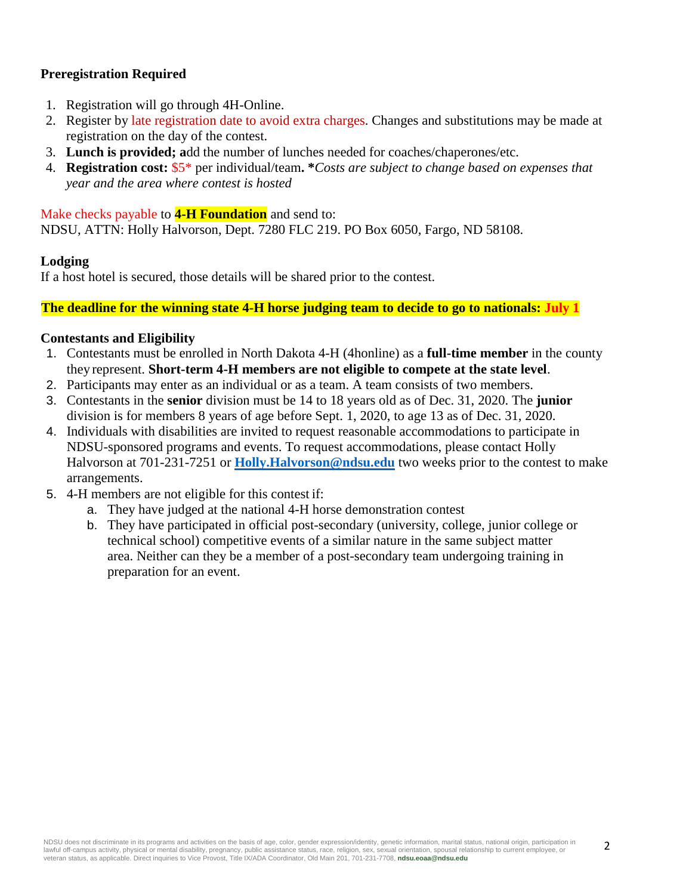# **Preregistration Required**

- 1. Registration will go through 4H-Online.
- 2. Register by late registration date to avoid extra charges. Changes and substitutions may be made at registration on the day of the contest.
- 3. **Lunch is provided; a**dd the number of lunches needed for coaches/chaperones/etc.
- 4. **Registration cost:** \$5\* per individual/team**. \****Costs are subject to change based on expenses that year and the area where contest is hosted*

#### Make checks payable to **4-H Foundation** and send to:

NDSU, ATTN: Holly Halvorson, Dept. 7280 FLC 219. PO Box 6050, Fargo, ND 58108.

## **Lodging**

If a host hotel is secured, those details will be shared prior to the contest.

#### **The deadline for the winning state 4-H horse judging team to decide to go to nationals: July 1**

#### **Contestants and Eligibility**

- 1. Contestants must be enrolled in North Dakota 4-H (4honline) as a **full-time member** in the county they represent. **Short-term 4-H members are not eligible to compete at the state level**.
- 2. Participants may enter as an individual or as a team. A team consists of two members.
- 3. Contestants in the **senior** division must be 14 to 18 years old as of Dec. 31, 2020. The **junior** division is for members 8 years of age before Sept. 1, 2020, to age 13 as of Dec. 31, 2020.
- 4. Individuals with disabilities are invited to request reasonable accommodations to participate in NDSU-sponsored programs and events. To request accommodations, please contact Holly Halvorson at 701-231-7251 or **[Holly.Halvorson@ndsu.edu](mailto:Holly.Halvorson@ndsu.edu)** two weeks prior to the contest to make arrangements.
- 5. 4-H members are not eligible for this contest if:
	- a. They have judged at the national 4-H horse demonstration contest
	- b. They have participated in official post-secondary (university, college, junior college or technical school) competitive events of a similar nature in the same subject matter area. Neither can they be a member of a post-secondary team undergoing training in preparation for an event.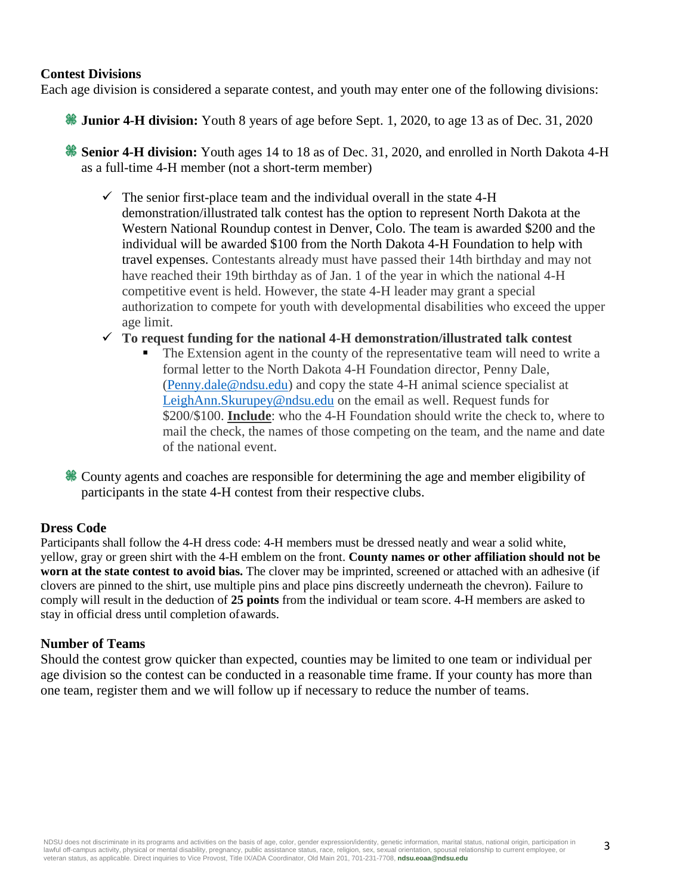#### **Contest Divisions**

Each age division is considered a separate contest, and youth may enter one of the following divisions:

**Junior 4-H division:** Youth 8 years of age before Sept. 1, 2020, to age 13 as of Dec. 31, 2020

**Senior 4-H division:** Youth ages 14 to 18 as of Dec. 31, 2020, and enrolled in North Dakota 4-H as a full-time 4-H member (not a short-term member)

- $\checkmark$  The senior first-place team and the individual overall in the state 4-H demonstration/illustrated talk contest has the option to represent North Dakota at the Western National Roundup contest in Denver, Colo. The team is awarded \$200 and the individual will be awarded \$100 from the North Dakota 4-H Foundation to help with travel expenses. Contestants already must have passed their 14th birthday and may not have reached their 19th birthday as of Jan. 1 of the year in which the national 4-H competitive event is held. However, the state 4-H leader may grant a special authorization to compete for youth with developmental disabilities who exceed the upper age limit.
- **To request funding for the national 4-H demonstration/illustrated talk contest**
	- The Extension agent in the county of the representative team will need to write a formal letter to the North Dakota 4-H Foundation director, Penny Dale, [\(Penny.dale@ndsu.edu\)](mailto:Penny.dale@ndsu.edu) and copy the state 4-H animal science specialist at [LeighAnn.Skurupey@ndsu.edu](mailto:LeighAnn.Skurupey@ndsu.edu) on the email as well. Request funds for \$200/\$100. **Include**: who the 4-H Foundation should write the check to, where to mail the check, the names of those competing on the team, and the name and date of the national event.
- County agents and coaches are responsible for determining the age and member eligibility of participants in the state 4-H contest from their respective clubs.

#### **Dress Code**

Participants shall follow the 4-H dress code: 4-H members must be dressed neatly and wear a solid white, yellow, gray or green shirt with the 4-H emblem on the front. **County names or other affiliation should not be worn at the state contest to avoid bias.** The clover may be imprinted, screened or attached with an adhesive (if clovers are pinned to the shirt, use multiple pins and place pins discreetly underneath the chevron). Failure to comply will result in the deduction of **25 points** from the individual or team score. 4-H members are asked to stay in official dress until completion ofawards.

## **Number of Teams**

Should the contest grow quicker than expected, counties may be limited to one team or individual per age division so the contest can be conducted in a reasonable time frame. If your county has more than one team, register them and we will follow up if necessary to reduce the number of teams.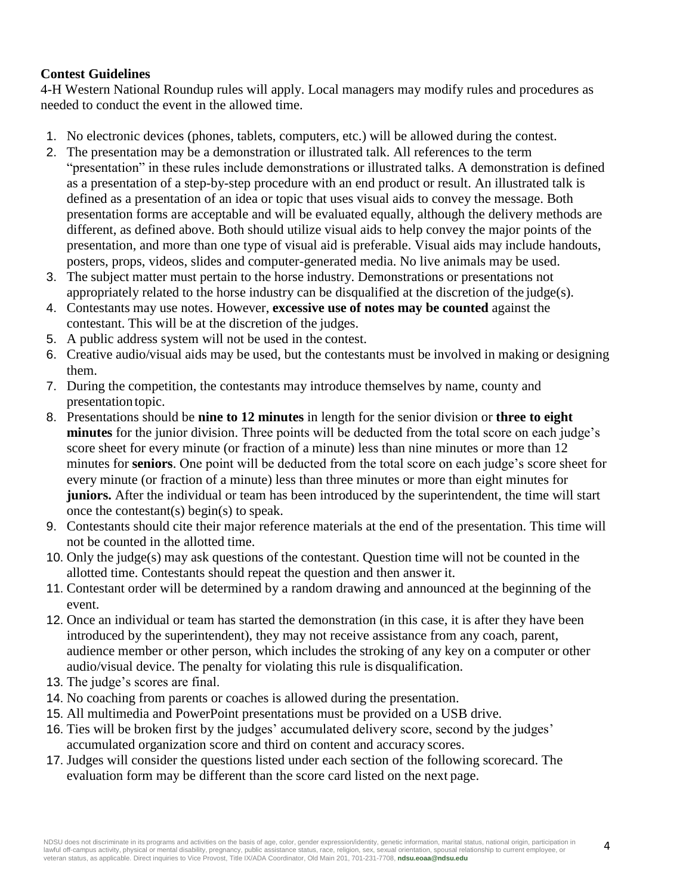# **Contest Guidelines**

4-H Western National Roundup rules will apply. Local managers may modify rules and procedures as needed to conduct the event in the allowed time.

- 1. No electronic devices (phones, tablets, computers, etc.) will be allowed during the contest.
- 2. The presentation may be a demonstration or illustrated talk. All references to the term "presentation" in these rules include demonstrations or illustrated talks. A demonstration is defined as a presentation of a step-by-step procedure with an end product or result. An illustrated talk is defined as a presentation of an idea or topic that uses visual aids to convey the message. Both presentation forms are acceptable and will be evaluated equally, although the delivery methods are different, as defined above. Both should utilize visual aids to help convey the major points of the presentation, and more than one type of visual aid is preferable. Visual aids may include handouts, posters, props, videos, slides and computer-generated media. No live animals may be used.
- 3. The subject matter must pertain to the horse industry. Demonstrations or presentations not appropriately related to the horse industry can be disqualified at the discretion of the judge(s).
- 4. Contestants may use notes. However, **excessive use of notes may be counted** against the contestant. This will be at the discretion of the judges.
- 5. A public address system will not be used in the contest.
- 6. Creative audio/visual aids may be used, but the contestants must be involved in making or designing them.
- 7. During the competition, the contestants may introduce themselves by name, county and presentation topic.
- 8. Presentations should be **nine to 12 minutes** in length for the senior division or **three to eight minutes** for the junior division. Three points will be deducted from the total score on each judge's score sheet for every minute (or fraction of a minute) less than nine minutes or more than 12 minutes for **seniors**. One point will be deducted from the total score on each judge's score sheet for every minute (or fraction of a minute) less than three minutes or more than eight minutes for **juniors.** After the individual or team has been introduced by the superintendent, the time will start once the contestant(s) begin(s) to speak.
- 9. Contestants should cite their major reference materials at the end of the presentation. This time will not be counted in the allotted time.
- 10. Only the judge(s) may ask questions of the contestant. Question time will not be counted in the allotted time. Contestants should repeat the question and then answer it.
- 11. Contestant order will be determined by a random drawing and announced at the beginning of the event.
- 12. Once an individual or team has started the demonstration (in this case, it is after they have been introduced by the superintendent), they may not receive assistance from any coach, parent, audience member or other person, which includes the stroking of any key on a computer or other audio/visual device. The penalty for violating this rule is disqualification.
- 13. The judge's scores are final.
- 14. No coaching from parents or coaches is allowed during the presentation.
- 15. All multimedia and PowerPoint presentations must be provided on a USB drive.
- 16. Ties will be broken first by the judges' accumulated delivery score, second by the judges' accumulated organization score and third on content and accuracy scores.
- 17. Judges will consider the questions listed under each section of the following scorecard. The evaluation form may be different than the score card listed on the next page.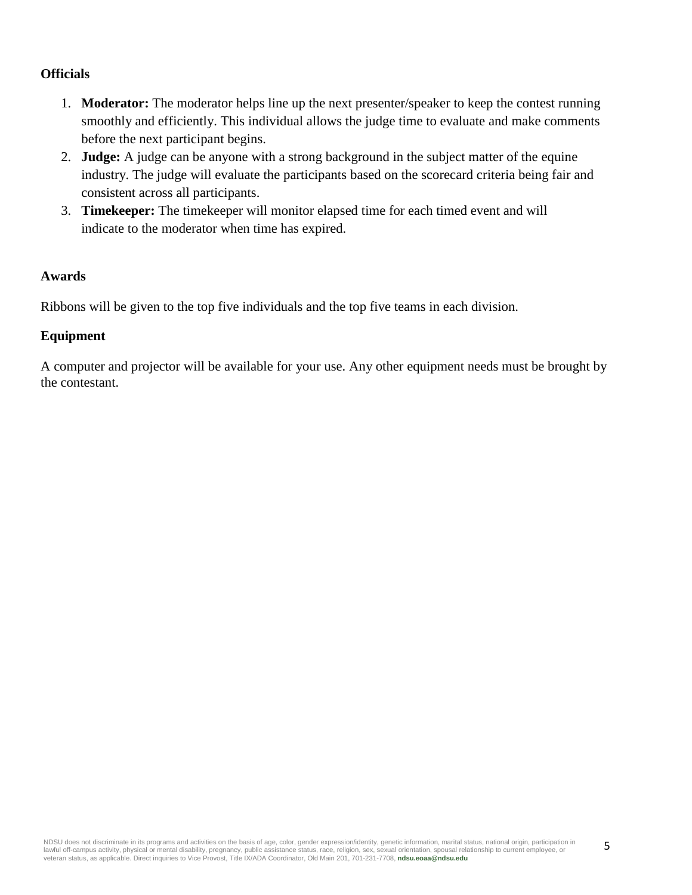# **Officials**

- 1. **Moderator:** The moderator helps line up the next presenter/speaker to keep the contest running smoothly and efficiently. This individual allows the judge time to evaluate and make comments before the next participant begins.
- 2. **Judge:** A judge can be anyone with a strong background in the subject matter of the equine industry. The judge will evaluate the participants based on the scorecard criteria being fair and consistent across all participants.
- 3. **Timekeeper:** The timekeeper will monitor elapsed time for each timed event and will indicate to the moderator when time has expired.

# **Awards**

Ribbons will be given to the top five individuals and the top five teams in each division.

# **Equipment**

A computer and projector will be available for your use. Any other equipment needs must be brought by the contestant.